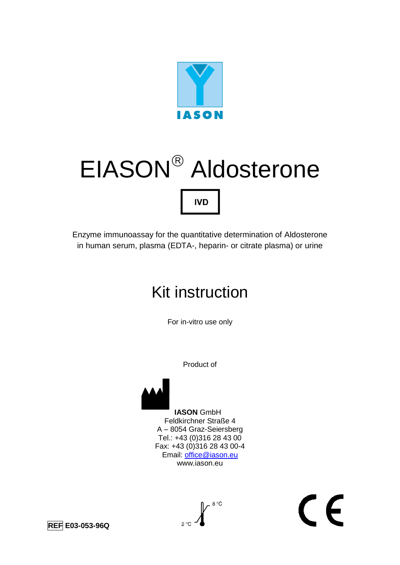

## EIASON<sup>®</sup> Aldosterone **IVD**

Enzyme immunoassay for the quantitative determination of Aldosterone in human serum, plasma (EDTA-, heparin- or citrate plasma) or urine

### Kit instruction

For in-vitro use only

Product of



 **IASON** GmbH Feldkirchner Straße 4 A – 8054 Graz-Seiersberg Tel.: +43 (0)316 28 43 00 Fax: +43 (0)316 28 43 00-4 Email: [office@iason.eu](mailto:office@iason.eu) www.iason.eu



# $\epsilon$

**REF E03-053-96Q**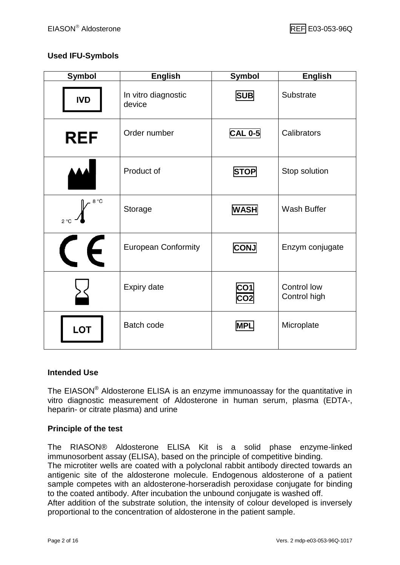#### **Used IFU-Symbols**

| <b>Symbol</b>        | <b>English</b>                | <b>Symbol</b>  | <b>English</b>              |
|----------------------|-------------------------------|----------------|-----------------------------|
| <b>IVD</b>           | In vitro diagnostic<br>device | <b>SUB</b>     | Substrate                   |
| <b>REF</b>           | Order number                  | <b>CAL 0-5</b> | Calibrators                 |
|                      | Product of                    | <b>STOP</b>    | Stop solution               |
| 8 °C<br>$2^{\circ}C$ | Storage                       | <b>WASH</b>    | <b>Wash Buffer</b>          |
| $\epsilon$           | <b>European Conformity</b>    | <b>CONJ</b>    | Enzym conjugate             |
|                      | Expiry date                   | CO1<br>CO:     | Control low<br>Control high |
| <b>LOT</b>           | <b>Batch code</b>             | <b>MPL</b>     | Microplate                  |

#### **Intended Use**

The EIASON® Aldosterone ELISA is an enzyme immunoassay for the quantitative in vitro diagnostic measurement of Aldosterone in human serum, plasma (EDTA-, heparin- or citrate plasma) and urine

#### **Principle of the test**

The RIASON® Aldosterone ELISA Kit is a solid phase enzyme-linked immunosorbent assay (ELISA), based on the principle of competitive binding.

The microtiter wells are coated with a polyclonal rabbit antibody directed towards an antigenic site of the aldosterone molecule. Endogenous aldosterone of a patient sample competes with an aldosterone-horseradish peroxidase conjugate for binding to the coated antibody. After incubation the unbound conjugate is washed off.

After addition of the substrate solution, the intensity of colour developed is inversely proportional to the concentration of aldosterone in the patient sample.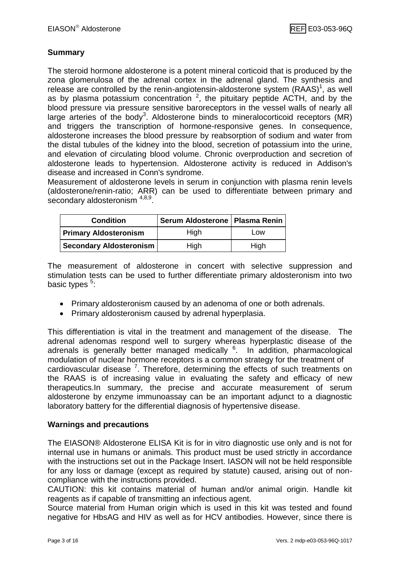#### **Summary**

The steroid hormone aldosterone is a potent mineral corticoid that is produced by the zona glomerulosa of the adrenal cortex in the adrenal gland. The synthesis and release are controlled by the renin-angiotensin-aldosterone system  $(RAAS)^{1}$ , as well as by plasma potassium concentration  $2$ , the pituitary peptide ACTH, and by the blood pressure via pressure sensitive baroreceptors in the vessel walls of nearly all large arteries of the body<sup>3</sup>. Aldosterone binds to mineralocorticoid receptors (MR) and triggers the transcription of hormone-responsive genes. In consequence, aldosterone increases the blood pressure by reabsorption of sodium and water from the distal tubules of the kidney into the blood, secretion of potassium into the urine, and elevation of circulating blood volume. Chronic overproduction and secretion of aldosterone leads to hypertension. Aldosterone activity is reduced in Addison's disease and increased in Conn's syndrome.

Measurement of aldosterone levels in serum in conjunction with plasma renin levels (aldosterone/renin-ratio; ARR) can be used to differentiate between primary and secondary aldosteronism  $4,8,9$ .

| <b>Condition</b>               | Serum Aldosterone   Plasma Renin |      |
|--------------------------------|----------------------------------|------|
| <b>Primary Aldosteronism</b>   | High                             | Low  |
| <b>Secondary Aldosteronism</b> | High                             | High |

The measurement of aldosterone in concert with selective suppression and stimulation tests can be used to further differentiate primary aldosteronism into two basic types<sup>5</sup>:

- Primary aldosteronism caused by an adenoma of one or both adrenals.
- Primary aldosteronism caused by adrenal hyperplasia.

This differentiation is vital in the treatment and management of the disease. The adrenal adenomas respond well to surgery whereas hyperplastic disease of the adrenals is generally better managed medically <sup>6</sup>. In addition, pharmacological modulation of nuclear hormone receptors is a common strategy for the treatment of cardiovascular disease<sup>7</sup>. Therefore, determining the effects of such treatments on the RAAS is of increasing value in evaluating the safety and efficacy of new therapeutics.In summary, the precise and accurate measurement of serum aldosterone by enzyme immunoassay can be an important adjunct to a diagnostic laboratory battery for the differential diagnosis of hypertensive disease.

#### **Warnings and precautions**

The EIASON® Aldosterone ELISA Kit is for in vitro diagnostic use only and is not for internal use in humans or animals. This product must be used strictly in accordance with the instructions set out in the Package Insert. IASON will not be held responsible for any loss or damage (except as required by statute) caused, arising out of noncompliance with the instructions provided.

CAUTION: this kit contains material of human and/or animal origin. Handle kit reagents as if capable of transmitting an infectious agent.

Source material from Human origin which is used in this kit was tested and found negative for HbsAG and HIV as well as for HCV antibodies. However, since there is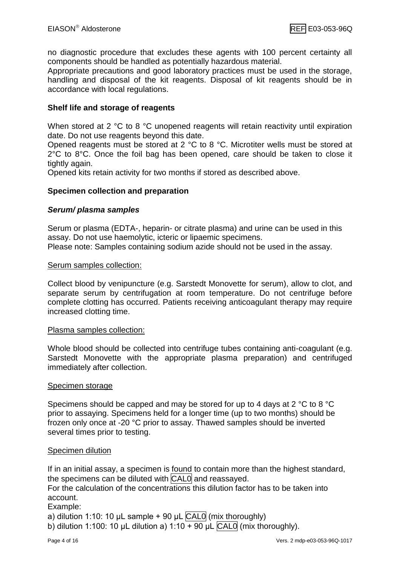no diagnostic procedure that excludes these agents with 100 percent certainty all components should be handled as potentially hazardous material.

Appropriate precautions and good laboratory practices must be used in the storage, handling and disposal of the kit reagents. Disposal of kit reagents should be in accordance with local regulations.

#### **Shelf life and storage of reagents**

When stored at 2 °C to 8 °C unopened reagents will retain reactivity until expiration date. Do not use reagents beyond this date.

Opened reagents must be stored at 2 °C to 8 °C. Microtiter wells must be stored at 2°C to 8°C. Once the foil bag has been opened, care should be taken to close it tightly again.

Opened kits retain activity for two months if stored as described above.

#### **Specimen collection and preparation**

#### *Serum/ plasma samples*

Serum or plasma (EDTA-, heparin- or citrate plasma) and urine can be used in this assay. Do not use haemolytic, icteric or lipaemic specimens. Please note: Samples containing sodium azide should not be used in the assay.

#### Serum samples collection:

Collect blood by venipuncture (e.g. Sarstedt Monovette for serum), allow to clot, and separate serum by centrifugation at room temperature. Do not centrifuge before complete clotting has occurred. Patients receiving anticoagulant therapy may require increased clotting time.

#### Plasma samples collection:

Whole blood should be collected into centrifuge tubes containing anti-coagulant (e.g. Sarstedt Monovette with the appropriate plasma preparation) and centrifuged immediately after collection.

#### Specimen storage

Specimens should be capped and may be stored for up to 4 days at 2 °C to 8 °C prior to assaying. Specimens held for a longer time (up to two months) should be frozen only once at -20 °C prior to assay. Thawed samples should be inverted several times prior to testing.

#### Specimen dilution

If in an initial assay, a specimen is found to contain more than the highest standard, the specimens can be diluted with CAL0 and reassayed.

For the calculation of the concentrations this dilution factor has to be taken into account.

Example:

a) dilution 1:10: 10 μL sample  $+$  90 μL CAL0 (mix thoroughly)

b) dilution 1:100: 10 μL dilution a) 1:10 + 90 μL  $\overline{CAL0}$  (mix thoroughly).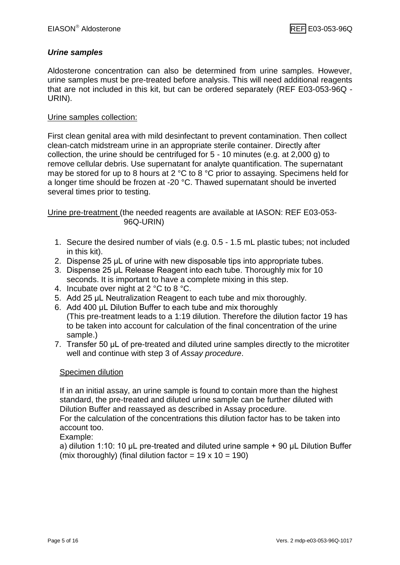#### *Urine samples*

Aldosterone concentration can also be determined from urine samples. However, urine samples must be pre-treated before analysis. This will need additional reagents that are not included in this kit, but can be ordered separately (REF E03-053-96Q - URIN).

#### Urine samples collection:

First clean genital area with mild desinfectant to prevent contamination. Then collect clean-catch midstream urine in an appropriate sterile container. Directly after collection, the urine should be centrifuged for 5 - 10 minutes (e.g. at 2,000 g) to remove cellular debris. Use supernatant for analyte quantification. The supernatant may be stored for up to 8 hours at 2 °C to 8 °C prior to assaying. Specimens held for a longer time should be frozen at -20 °C. Thawed supernatant should be inverted several times prior to testing.

Urine pre-treatment (the needed reagents are available at IASON: REF E03-053- 96Q-URIN)

- 1. Secure the desired number of vials (e.g. 0.5 1.5 mL plastic tubes; not included in this kit).
- 2. Dispense 25 μL of urine with new disposable tips into appropriate tubes.
- 3. Dispense 25 μL Release Reagent into each tube. Thoroughly mix for 10 seconds. It is important to have a complete mixing in this step.
- 4. Incubate over night at 2 °C to 8 °C.
- 5. Add 25 μL Neutralization Reagent to each tube and mix thoroughly.
- 6. Add 400 μL Dilution Buffer to each tube and mix thoroughly (This pre-treatment leads to a 1:19 dilution. Therefore the dilution factor 19 has to be taken into account for calculation of the final concentration of the urine sample.)
- 7. Transfer 50 μL of pre-treated and diluted urine samples directly to the microtiter well and continue with step 3 of *Assay procedure*.

#### Specimen dilution

If in an initial assay, an urine sample is found to contain more than the highest standard, the pre-treated and diluted urine sample can be further diluted with Dilution Buffer and reassayed as described in Assay procedure.

For the calculation of the concentrations this dilution factor has to be taken into account too.

Example:

a) dilution 1:10: 10 μL pre-treated and diluted urine sample + 90 μL Dilution Buffer (mix thoroughly) (final dilution factor =  $19 \times 10 = 190$ )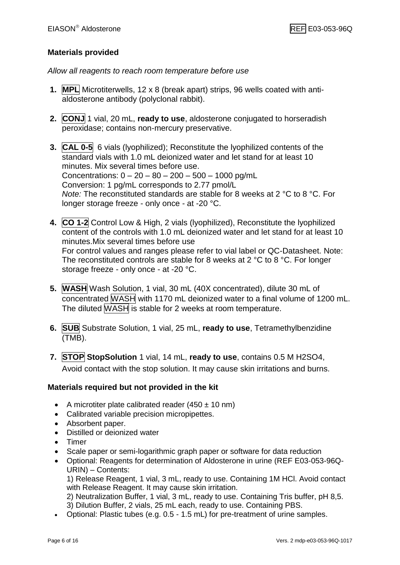#### **Materials provided**

*Allow all reagents to reach room temperature before use*

- **1. MPL** Microtiterwells, 12 x 8 (break apart) strips, 96 wells coated with antialdosterone antibody (polyclonal rabbit).
- **2. CONJ** 1 vial, 20 mL, **ready to use**, aldosterone conjugated to horseradish peroxidase; contains non-mercury preservative.
- **3. CAL 0-5** 6 vials (lyophilized); Reconstitute the lyophilized contents of the standard vials with 1.0 mL deionized water and let stand for at least 10 minutes. Mix several times before use. Concentrations: 0 – 20 – 80 – 200 – 500 – 1000 pg/mL Conversion: 1 pg/mL corresponds to 2.77 pmol/L *Note:* The reconstituted standards are stable for 8 weeks at 2 °C to 8 °C. For longer storage freeze - only once - at -20 °C.
- **4. CO 1-2** Control Low & High, 2 vials (lyophilized), Reconstitute the lyophilized content of the controls with 1.0 mL deionized water and let stand for at least 10 minutes.Mix several times before use For control values and ranges please refer to vial label or QC-Datasheet. Note: The reconstituted controls are stable for 8 weeks at 2 °C to 8 °C. For longer storage freeze - only once - at -20 °C.
- **5. WASH** Wash Solution, 1 vial, 30 mL (40X concentrated), dilute 30 mL of concentrated WASH with 1170 mL deionized water to a final volume of 1200 mL. The diluted WASH is stable for 2 weeks at room temperature.
- **6. SUB** Substrate Solution, 1 vial, 25 mL, **ready to use**, Tetramethylbenzidine (TMB).
- **7. STOP StopSolution** 1 vial, 14 mL, **ready to use**, contains 0.5 M H2SO4, Avoid contact with the stop solution. It may cause skin irritations and burns.

#### **Materials required but not provided in the kit**

- A microtiter plate calibrated reader  $(450 \pm 10 \text{ nm})$
- Calibrated variable precision micropipettes.
- Absorbent paper.
- Distilled or deionized water
- Timer
- Scale paper or semi-logarithmic graph paper or software for data reduction
- Optional: Reagents for determination of Aldosterone in urine (REF E03-053-96Q-URIN) – Contents:

1) Release Reagent, 1 vial, 3 mL, ready to use. Containing 1M HCl. Avoid contact with Release Reagent. It may cause skin irritation.

- 2) Neutralization Buffer, 1 vial, 3 mL, ready to use. Containing Tris buffer, pH 8,5. 3) Dilution Buffer, 2 vials, 25 mL each, ready to use. Containing PBS.
- Optional: Plastic tubes (e.g. 0.5 1.5 mL) for pre-treatment of urine samples.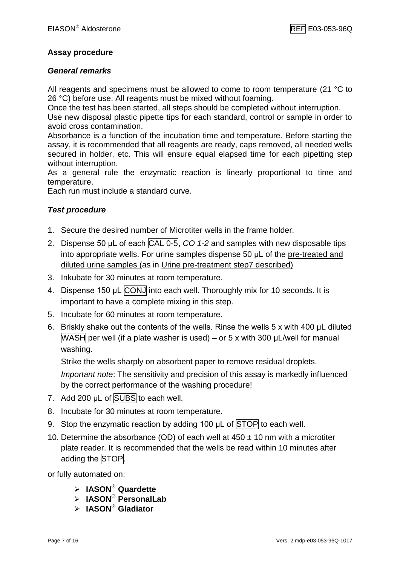#### **Assay procedure**

#### *General remarks*

All reagents and specimens must be allowed to come to room temperature (21 °C to 26 °C) before use. All reagents must be mixed without foaming.

Once the test has been started, all steps should be completed without interruption.

Use new disposal plastic pipette tips for each standard, control or sample in order to avoid cross contamination.

Absorbance is a function of the incubation time and temperature. Before starting the assay, it is recommended that all reagents are ready, caps removed, all needed wells secured in holder, etc. This will ensure equal elapsed time for each pipetting step without interruption.

As a general rule the enzymatic reaction is linearly proportional to time and temperature.

Each run must include a standard curve.

#### *Test procedure*

- 1. Secure the desired number of Microtiter wells in the frame holder.
- 2. Dispense 50 μL of each CAL 0-5, *CO 1-2* and samples with new disposable tips into appropriate wells. For urine samples dispense 50 μL of the pre-treated and diluted urine samples (as in Urine pre-treatment step7 described)
- 3. Inkubate for 30 minutes at room temperature.
- 4. Dispense 150 μL CONJ into each well. Thoroughly mix for 10 seconds. It is important to have a complete mixing in this step.
- 5. Incubate for 60 minutes at room temperature.
- 6. Briskly shake out the contents of the wells. Rinse the wells 5 x with 400 μL diluted  $\overline{WASH}$  per well (if a plate washer is used) – or 5 x with 300 µL/well for manual washing.

Strike the wells sharply on absorbent paper to remove residual droplets.

*Important note*: The sensitivity and precision of this assay is markedly influenced by the correct performance of the washing procedure!

- 7. Add 200 μL of SUBS to each well.
- 8. Incubate for 30 minutes at room temperature.
- 9. Stop the enzymatic reaction by adding 100 μL of STOP to each well.
- 10. Determine the absorbance (OD) of each well at  $450 \pm 10$  nm with a microtiter plate reader. It is recommended that the wells be read within 10 minutes after adding the STOP.

or fully automated on:

- **IASON Quardette**
- **IASON PersonalLab**
- **EXALUS EXAMPLE Gladiator**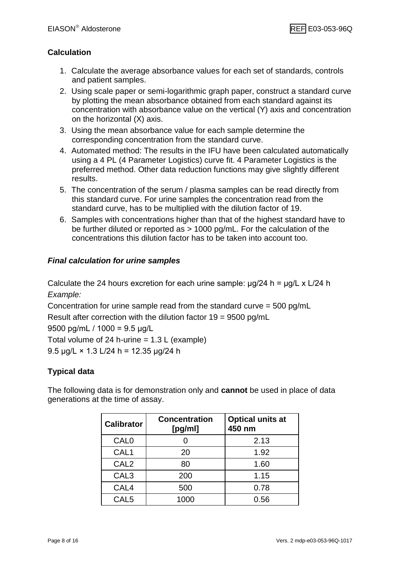#### **Calculation**

- 1. Calculate the average absorbance values for each set of standards, controls and patient samples.
- 2. Using scale paper or semi-logarithmic graph paper, construct a standard curve by plotting the mean absorbance obtained from each standard against its concentration with absorbance value on the vertical (Y) axis and concentration on the horizontal (X) axis.
- 3. Using the mean absorbance value for each sample determine the corresponding concentration from the standard curve.
- 4. Automated method: The results in the IFU have been calculated automatically using a 4 PL (4 Parameter Logistics) curve fit. 4 Parameter Logistics is the preferred method. Other data reduction functions may give slightly different results.
- 5. The concentration of the serum / plasma samples can be read directly from this standard curve. For urine samples the concentration read from the standard curve, has to be multiplied with the dilution factor of 19.
- 6. Samples with concentrations higher than that of the highest standard have to be further diluted or reported as > 1000 pg/mL. For the calculation of the concentrations this dilution factor has to be taken into account too.

#### *Final calculation for urine samples*

Calculate the 24 hours excretion for each urine sample:  $\mu q/24$  h =  $\mu q/L \times L/24$  h *Example:*

Concentration for urine sample read from the standard curve = 500 pg/mL

Result after correction with the dilution factor 19 = 9500 pg/mL

9500 pg/mL / 1000 = 9.5 μg/L

Total volume of 24 h-urine  $= 1.3$  L (example) 9.5 μg/L × 1.3 L/24 h = 12.35 μg/24 h

#### **Typical data**

The following data is for demonstration only and **cannot** be used in place of data generations at the time of assay.

| <b>Calibrator</b> | <b>Concentration</b><br>[pg/ml] | <b>Optical units at</b><br>450 nm |
|-------------------|---------------------------------|-----------------------------------|
| CAL <sub>0</sub>  |                                 | 2.13                              |
| CAL <sub>1</sub>  | 20                              | 1.92                              |
| CAL <sub>2</sub>  | 80                              | 1.60                              |
| CAL <sub>3</sub>  | 200                             | 1.15                              |
| CAL4              | 500                             | 0.78                              |
| CAL <sub>5</sub>  | 1000                            | 0.56                              |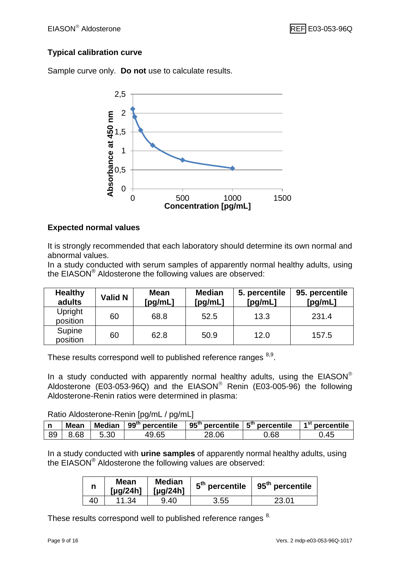#### **Typical calibration curve**

Sample curve only. **Do not** use to calculate results.



#### **Expected normal values**

It is strongly recommended that each laboratory should determine its own normal and abnormal values.

In a study conducted with serum samples of apparently normal healthy adults, using the EIASON® Aldosterone the following values are observed:

| <b>Healthy</b><br>adults | <b>Valid N</b> | <b>Mean</b><br>[pg/mL] | <b>Median</b><br>[pg/mL] | 5. percentile<br>[pg/mL] | 95. percentile<br>[pg/mL] |
|--------------------------|----------------|------------------------|--------------------------|--------------------------|---------------------------|
| Upright<br>position      | 60             | 68.8                   | 52.5                     | 13.3                     | 231.4                     |
| Supine<br>position       | 60             | 62.8                   | 50.9                     | 12.0                     | 157.5                     |

These results correspond well to published reference ranges  $8.9$ .

In a study conducted with apparently normal healthy adults, using the  $EIASON<sup>®</sup>$ Aldosterone (E03-053-96Q) and the  $EIASON^@$  Renin (E03-005-96) the following Aldosterone-Renin ratios were determined in plasma:

Ratio Aldosterone-Renin [pg/mL / pg/mL]

| n | Mean    |      | $\mid$ Median $\mid$ 99 <sup>th</sup> percentile $\mid$ 95 <sup>th</sup> percentile $\mid$ 5 <sup>th</sup> percentile |       |      | $\vert$ 1 <sup>st</sup> percentile |
|---|---------|------|-----------------------------------------------------------------------------------------------------------------------|-------|------|------------------------------------|
|   | 89 8.68 | 5.30 | 49.65                                                                                                                 | 28.06 | 0.68 | 45. (                              |

In a study conducted with **urine samples** of apparently normal healthy adults, using the EIASON® Aldosterone the following values are observed:

|    | <b>Mean</b><br>[ $\mu$ g/24h] | <b>Median</b><br>[ $\mu$ g/24h] |      | $5th$ percentile $ 95th$ percentile |
|----|-------------------------------|---------------------------------|------|-------------------------------------|
| 40 | 11.34                         | 9.40                            | 3.55 | 23.01                               |

These results correspond well to published reference ranges <sup>8.</sup>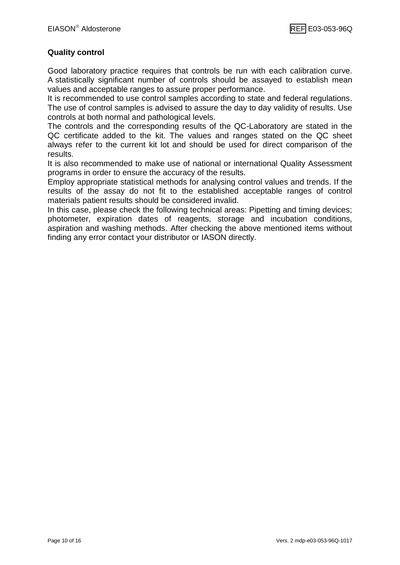#### **Quality control**

Good laboratory practice requires that controls be run with each calibration curve. A statistically significant number of controls should be assayed to establish mean values and acceptable ranges to assure proper performance.

It is recommended to use control samples according to state and federal regulations. The use of control samples is advised to assure the day to day validity of results. Use controls at both normal and pathological levels.

The controls and the corresponding results of the QC-Laboratory are stated in the QC certificate added to the kit. The values and ranges stated on the QC sheet always refer to the current kit lot and should be used for direct comparison of the results.

It is also recommended to make use of national or international Quality Assessment programs in order to ensure the accuracy of the results.

Employ appropriate statistical methods for analysing control values and trends. If the results of the assay do not fit to the established acceptable ranges of control materials patient results should be considered invalid.

In this case, please check the following technical areas: Pipetting and timing devices: photometer, expiration dates of reagents, storage and incubation conditions, aspiration and washing methods. After checking the above mentioned items without finding any error contact your distributor or IASON directly.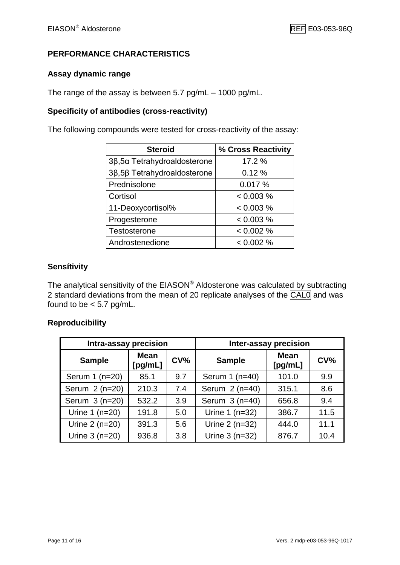#### **PERFORMANCE CHARACTERISTICS**

#### **Assay dynamic range**

The range of the assay is between 5.7 pg/mL – 1000 pg/mL.

#### **Specificity of antibodies (cross-reactivity)**

The following compounds were tested for cross-reactivity of the assay:

| <b>Steroid</b>              | % Cross Reactivity |
|-----------------------------|--------------------|
| 3β,5α Tetrahydroaldosterone | 17.2 %             |
| 3β,5β Tetrahydroaldosterone | 0.12%              |
| Prednisolone                | 0.017%             |
| Cortisol                    | < 0.003 %          |
| 11-Deoxycortisol%           | < 0.003 %          |
| Progesterone                | < 0.003 %          |
| Testosterone                | < 0.002 %          |
| Androstenedione             | < 0.002 %          |

#### **Sensítivity**

The analytical sensitivity of the EIASON® Aldosterone was calculated by subtracting 2 standard deviations from the mean of 20 replicate analyses of the CAL0 and was found to be  $< 5.7$  pg/mL.

#### **Reproducibility**

| Intra-assay precision |                        |                 | <b>Inter-assay precision</b> |                        |                 |
|-----------------------|------------------------|-----------------|------------------------------|------------------------|-----------------|
| <b>Sample</b>         | <b>Mean</b><br>[pg/mL] | CV <sub>6</sub> | <b>Sample</b>                | <b>Mean</b><br>[pg/mL] | CV <sub>0</sub> |
| Serum 1 (n=20)        | 85.1                   | 9.7             | Serum 1 (n=40)               | 101.0                  | 9.9             |
| Serum 2 (n=20)        | 210.3                  | 7.4             | Serum 2 (n=40)               | 315.1                  | 8.6             |
| Serum 3 (n=20)        | 532.2                  | 3.9             | Serum 3 (n=40)               | 656.8                  | 9.4             |
| Urine $1$ (n=20)      | 191.8                  | 5.0             | Urine $1$ (n=32)             | 386.7                  | 11.5            |
| Urine $2(n=20)$       | 391.3                  | 5.6             | Urine $2(n=32)$              | 444.0                  | 11.1            |
| Urine $3(n=20)$       | 936.8                  | 3.8             | Urine $3(n=32)$              | 876.7                  | 10.4            |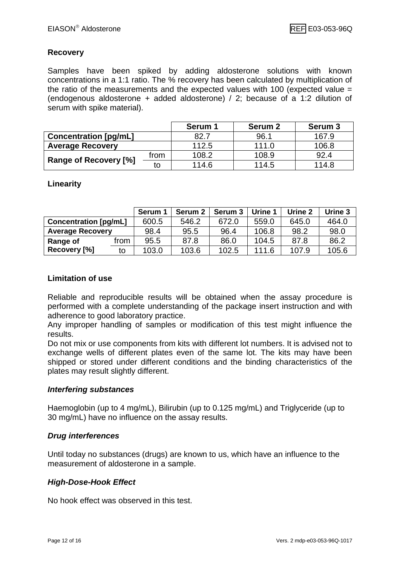#### **Recovery**

Samples have been spiked by adding aldosterone solutions with known concentrations in a 1:1 ratio. The % recovery has been calculated by multiplication of the ratio of the measurements and the expected values with 100 (expected value  $=$ (endogenous aldosterone + added aldosterone) / 2; because of a 1:2 dilution of serum with spike material).

|                              |      | Serum 1 | Serum <sub>2</sub> | Serum 3 |
|------------------------------|------|---------|--------------------|---------|
| <b>Concentration [pg/mL]</b> |      | 82.7    | 96.1               | 167.9   |
| <b>Average Recovery</b>      |      | 112.5   | 111.0              | 106.8   |
|                              | from | 108.2   | 108.9              | 92.4    |
| Range of Recovery [%]        | to   | 114.6   | 114.5              | 114.8   |

#### **Linearity**

|                              |      | <b>Serum</b> | Serum 2 | Serum 3 | Urine 1 | Urine 2 | Urine 3 |
|------------------------------|------|--------------|---------|---------|---------|---------|---------|
| <b>Concentration [pg/mL]</b> |      | 600.5        | 546.2   | 672.0   | 559.0   | 645.0   | 464.0   |
| <b>Average Recovery</b>      |      | 98.4         | 95.5    | 96.4    | 106.8   | 98.2    | 98.0    |
| Range of                     | from | 95.5         | 87.8    | 86.0    | 104.5   | 87.8    | 86.2    |
| Recovery [%]                 | to   | 103.0        | 103.6   | 102.5   | 111.6   | 107.9   | 105.6   |

#### **Limitation of use**

Reliable and reproducible results will be obtained when the assay procedure is performed with a complete understanding of the package insert instruction and with adherence to good laboratory practice.

Any improper handling of samples or modification of this test might influence the results.

Do not mix or use components from kits with different lot numbers. It is advised not to exchange wells of different plates even of the same lot. The kits may have been shipped or stored under different conditions and the binding characteristics of the plates may result slightly different.

#### *Interfering substances*

Haemoglobin (up to 4 mg/mL), Bilirubin (up to 0.125 mg/mL) and Triglyceride (up to 30 mg/mL) have no influence on the assay results.

#### *Drug interferences*

Until today no substances (drugs) are known to us, which have an influence to the measurement of aldosterone in a sample.

#### *High-Dose-Hook Effect*

No hook effect was observed in this test.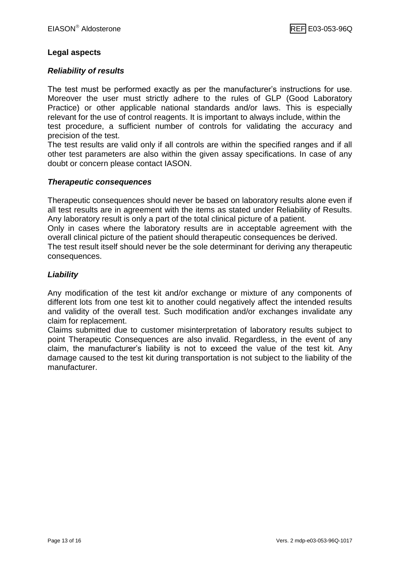#### **Legal aspects**

#### *Reliability of results*

The test must be performed exactly as per the manufacturer's instructions for use. Moreover the user must strictly adhere to the rules of GLP (Good Laboratory Practice) or other applicable national standards and/or laws. This is especially relevant for the use of control reagents. It is important to always include, within the test procedure, a sufficient number of controls for validating the accuracy and precision of the test.

The test results are valid only if all controls are within the specified ranges and if all other test parameters are also within the given assay specifications. In case of any doubt or concern please contact IASON.

#### *Therapeutic consequences*

Therapeutic consequences should never be based on laboratory results alone even if all test results are in agreement with the items as stated under Reliability of Results. Any laboratory result is only a part of the total clinical picture of a patient.

Only in cases where the laboratory results are in acceptable agreement with the overall clinical picture of the patient should therapeutic consequences be derived.

The test result itself should never be the sole determinant for deriving any therapeutic consequences.

#### *Liability*

Any modification of the test kit and/or exchange or mixture of any components of different lots from one test kit to another could negatively affect the intended results and validity of the overall test. Such modification and/or exchanges invalidate any claim for replacement.

Claims submitted due to customer misinterpretation of laboratory results subject to point Therapeutic Consequences are also invalid. Regardless, in the event of any claim, the manufacturer's liability is not to exceed the value of the test kit. Any damage caused to the test kit during transportation is not subject to the liability of the manufacturer.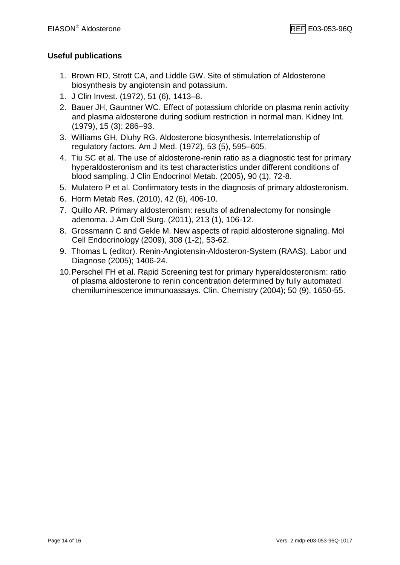#### **Useful publications**

- 1. Brown RD, Strott CA, and Liddle GW. Site of stimulation of Aldosterone biosynthesis by angiotensin and potassium.
- 1. J Clin Invest. (1972), 51 (6), 1413–8.
- 2. Bauer JH, Gauntner WC. Effect of potassium chloride on plasma renin activity and plasma aldosterone during sodium restriction in normal man. Kidney Int. (1979), 15 (3): 286–93.
- 3. Williams GH, Dluhy RG. Aldosterone biosynthesis. Interrelationship of regulatory factors. Am J Med. (1972), 53 (5), 595–605.
- 4. Tiu SC et al. The use of aldosterone-renin ratio as a diagnostic test for primary hyperaldosteronism and its test characteristics under different conditions of blood sampling. J Clin Endocrinol Metab. (2005), 90 (1), 72-8.
- 5. Mulatero P et al. Confirmatory tests in the diagnosis of primary aldosteronism.
- 6. Horm Metab Res. (2010), 42 (6), 406-10.
- 7. Quillo AR. Primary aldosteronism: results of adrenalectomy for nonsingle adenoma. J Am Coll Surg. (2011), 213 (1), 106-12.
- 8. Grossmann C and Gekle M. New aspects of rapid aldosterone signaling. Mol Cell Endocrinology (2009), 308 (1-2), 53-62.
- 9. Thomas L (editor). Renin-Angiotensin-Aldosteron-System (RAAS). Labor und Diagnose (2005); 1406-24.
- 10.Perschel FH et al. Rapid Screening test for primary hyperaldosteronism: ratio of plasma aldosterone to renin concentration determined by fully automated chemiluminescence immunoassays. Clin. Chemistry (2004); 50 (9), 1650-55.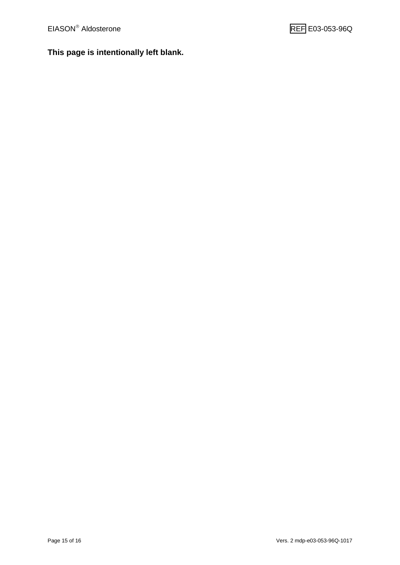#### **This page is intentionally left blank.**